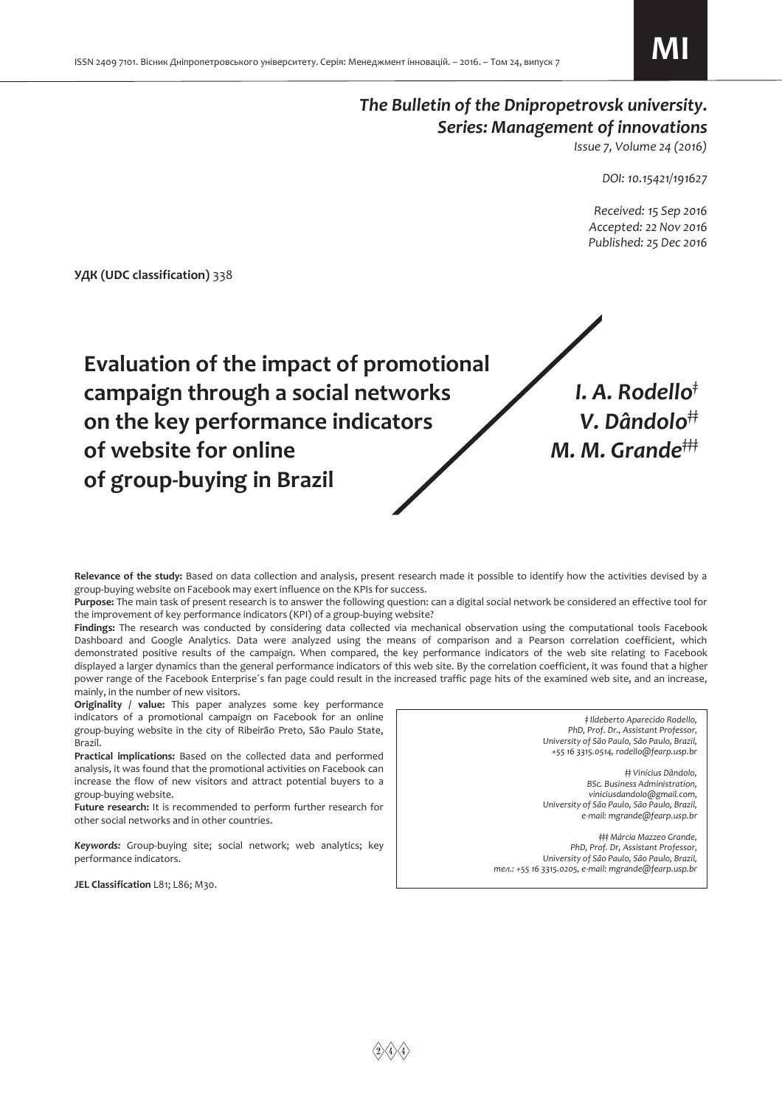# *The Bulletin of the Dnipropetrovsk university. Series: Management of innovations*

*Issue 7, Volume 24 (2016)* 

*DOI: 10.15421/191627* 

 *Received: 15 Sep 2016 Accepted: 22 Nov 2016 Published: 25 Dec 2016* 

**УДК (UDC classification)** 338



**Relevance of the study:** Based on data collection and analysis, present research made it possible to identify how the activities devised by a group-buying website on Facebook may exert influence on the KPIs for success.

**Purpose:** The main task of present research is to answer the following question: can a digital social network be considered an effective tool for the improvement of key performance indicators (KPI) of a group-buying website?

**Findings:** The research was conducted by considering data collected via mechanical observation using the computational tools Facebook Dashboard and Google Analytics. Data were analyzed using the means of comparison and a Pearson correlation coefficient, which demonstrated positive results of the campaign. When compared, the key performance indicators of the web site relating to Facebook displayed a larger dynamics than the general performance indicators of this web site. By the correlation coefficient, it was found that a higher power range of the Facebook Enterprise´s fan page could result in the increased traffic page hits of the examined web site, and an increase, mainly, in the number of new visitors.

**Originality / value:** This paper analyzes some key performance indicators of a promotional campaign on Facebook for an online group-buying website in the city of Ribeirão Preto, São Paulo State, Brazil.

**Practical implications:** Based on the collected data and performed analysis, it was found that the promotional activities on Facebook can increase the flow of new visitors and attract potential buyers to a group-buying website.

**Future research:** It is recommended to perform further research for other social networks and in other countries.

*Keywords:* Group-buying site; social network; web analytics; key performance indicators.

*‡ Ildeberto Aparecido Rodello, PhD, Prof. Dr., Assistant Professor, University of São Paulo, São Paulo, Brazil, +55 16 3315.0514, rodello@fearp.usp.br*

*‡‡ Vinícius Dândolo, BSc. Business Administration, viniciusdandolo@gmail.com, University of São Paulo, São Paulo, Brazil, e-mail: mgrande@fearp.usp.br*

*‡‡‡ Márcia Mazzeo Grande, PhD, Prof. Dr, Assistant Professor, University of São Paulo, São Paulo, Brazil, тел.: +55 16 3315.0205, e-mail: mgrande@fearp.usp.br*

JEL Classification L81; L86; M30.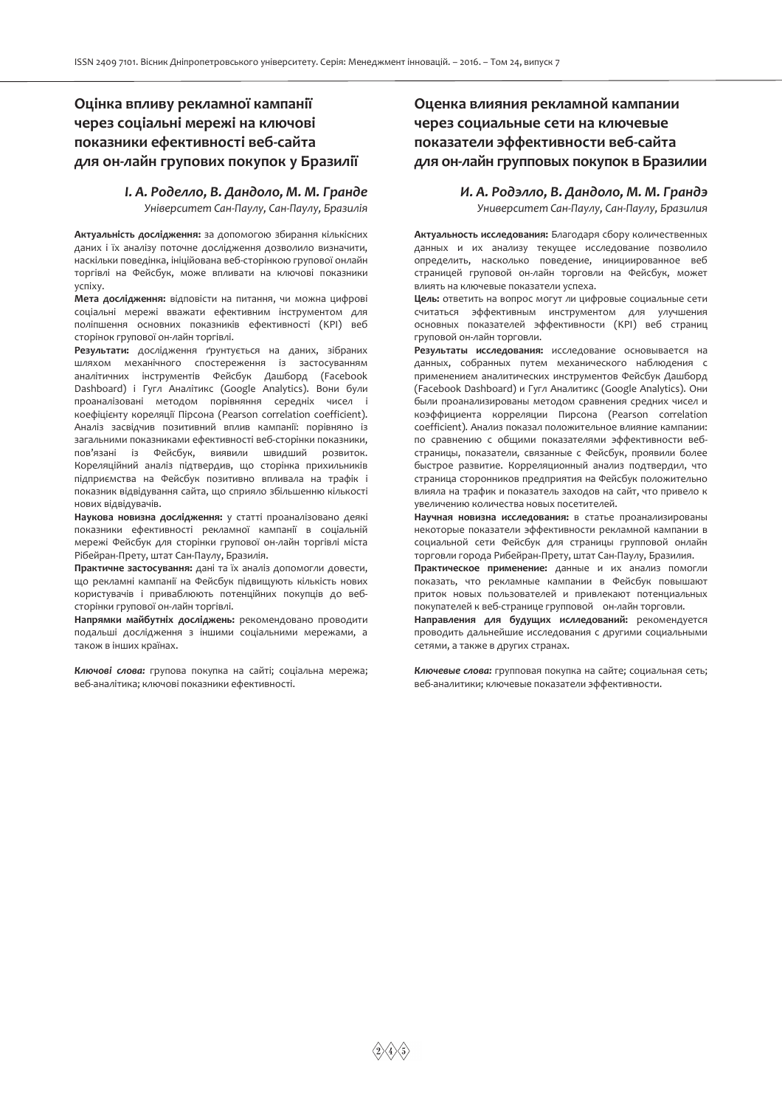# **Оцінка впливу рекламної кампанії через соціальні мережі на ключові показники ефективності веб-сайта для он-лайн групових покупок у Бразилії**

*I. А. Роделло, В. Дандоло, М. М. Гранде Університет Сан-Паулу, Сан-Паулу, Бразилія*

**Актуальність дослідження:** за допомогою збирання кількісних даних і їх аналізу поточне дослідження дозволило визначити, наскільки поведінка, ініційована веб-сторінкою групової онлайн торгівлі на Фейсбук, може впливати на ключові показники успіху.

**Мета дослідження:** відповісти на питання, чи можна цифрові соціальні мережі вважати ефективним інструментом для поліпшення основних показників ефективності (KPI) веб сторінок групової он-лайн торгівлі.

**Результати:** дослідження ґрунтується на даних, зібраних шляхом механічного спостереження із застосуванням аналітичних інструментів Фейсбук Дашборд (Facebook Dashboard) і Гугл Аналітикс (Google Analytics). Вони були проаналізовані методом порівняння середніх чисел і коефіцієнту кореляції Пірсона (Pearson correlation coefficient). Аналіз засвідчив позитивний вплив кампанії: порівняно із загальними показниками ефективності веб-сторінки показники, пов'язані із Фейсбук, виявили швидший розвиток. Кореляційний аналіз підтвердив, що сторінка прихильників підприємства на Фейсбук позитивно впливала на трафік і показник відвідування сайта, що сприяло збільшенню кількості нових відвідувачів.

**Наукова новизна дослідження:** у статті проаналізовано деякі показники ефективності рекламної кампанії в соціальній мережі Фейсбук для сторінки групової он-лайн торгівлі міста Рібейран-Прету, штат Сан-Паулу, Бразилія.

**Практичне застосування:** дані та їх аналіз допомогли довести, що рекламні кампанії на Фейсбук підвищують кількість нових користувачів і приваблюють потенційних покупців до вебсторінки групової он-лайн торгівлі.

**Напрямки майбутніх досліджень:** рекомендовано проводити подальші дослідження з іншими соціальними мережами, а також в інших країнах.

*Ключові слова:* групова покупка на сайті; соціальна мережа; веб-аналітика; ключові показники ефективності.

# **Оценка влияния рекламной кампании через социальные сети на ключевые показатели эффективности веб-сайта для он-лайн групповых покупок в Бразилии**

## *И. А. Родэлло, В. Дандоло, М. М. Грандэ Университет Сан-Паулу, Сан-Паулу, Бразилия*

**Актуальность исследования:** Благодаря сбору количественных данных и их анализу текущее исследование позволило определить, насколько поведение, инициированное веб страницей груповой он-лайн торговли на Фейсбук, может влиять на ключевые показатели успеха.

**Цель:** ответить на вопрос могут ли цифровые социальные сети считаться эффективным инструментом для улучшения основных показателей эффективности (KPI) веб страниц груповой он-лайн торговли.

**Результаты исследования:** исследование основывается на данных, собранных путем механического наблюдения с применением аналитических инструментов Фейсбук Дашборд (Facebook Dashboard) и Гугл Аналитикс (Google Analytics). Они были проанализированы методом сравнения средних чисел и коэффициента корреляции Пирсона (Pearson correlation coefficient). Анализ показал положительное влияние кампании: по сравнению с общими показателями эффективности вебстраницы, показатели, связанные с Фейсбук, проявили более быстрое развитие. Корреляционный анализ подтвердил, что страница сторонников предприятия на Фейсбук положительно влияла на трафик и показатель заходов на сайт, что привело к увеличению количества новых посетителей.

**Научная новизна исследования:** в статье проанализированы некоторые показатели эффективности рекламной кампании в социальной сети Фейсбук для страницы групповой онлайн торговли города Рибейран-Прету, штат Сан-Паулу, Бразилия.

**Практическое применение:** данные и их анализ помогли показать, что рекламные кампании в Фейсбук повышают приток новых пользователей и привлекают потенциальных покупателей к веб-странице групповой он-лайн торговли.

**Направления для будущих ислледований:** рекомендуется проводить дальнейшие исследования с другими социальными сетями, а также в других странах.

*Ключевые слова:* групповая покупка на сайте; социальная сеть; веб-аналитики; ключевые показатели эффективности.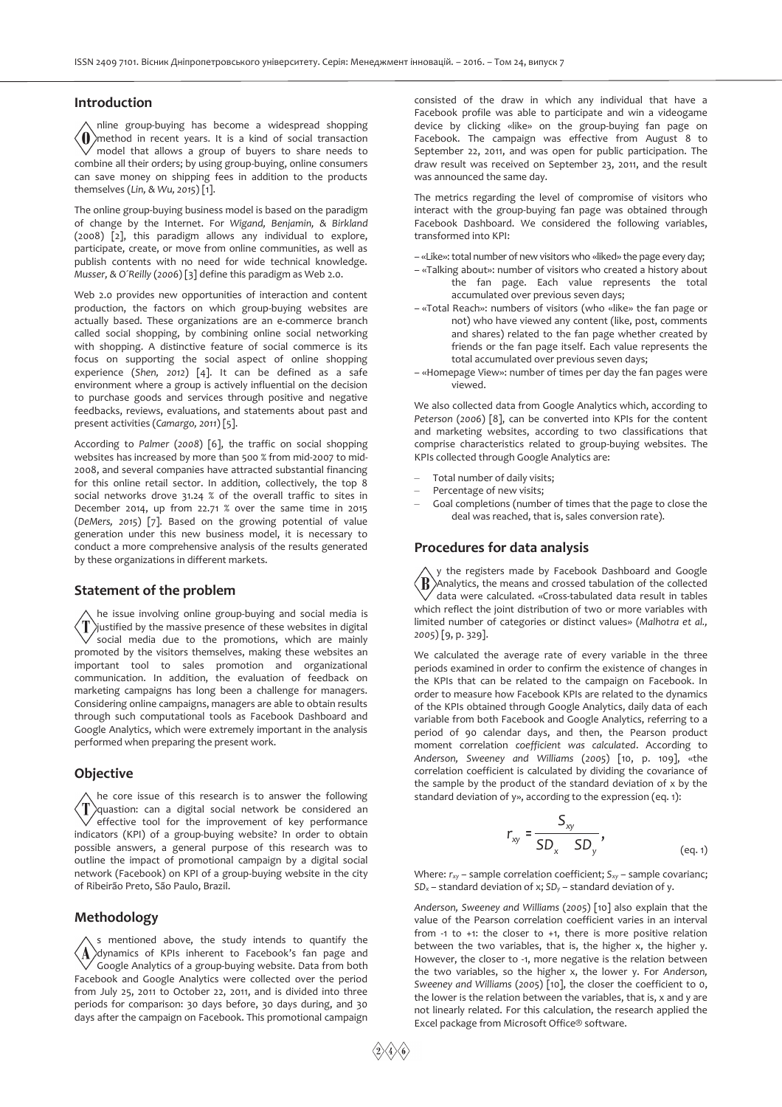#### **Introduction**

nline group-buying has become a widespread shopping  $\langle$  ()) method in recent years. It is a kind of social transaction  $\checkmark$  model that allows a group of buyers to share needs to combine all their orders; by using group-buying, online consumers can save money on shipping fees in addition to the products themselves (*Lin, & Wu, 2015*) [1].

The online group-buying business model is based on the paradigm of change by the Internet. For *Wigand, Benjamin, & Birkland* (2008) [2], this paradigm allows any individual to explore, participate, create, or move from online communities, as well as publish contents with no need for wide technical knowledge. *Musser, & O´Reilly* (*2006*) [3] define this paradigm as Web 2.0.

Web 2.0 provides new opportunities of interaction and content production, the factors on which group-buying websites are actually based. These organizations are an e-commerce branch called social shopping, by combining online social networking with shopping. A distinctive feature of social commerce is its focus on supporting the social aspect of online shopping experience (*Shen, 2012*) [4]. It can be defined as a safe environment where a group is actively influential on the decision to purchase goods and services through positive and negative feedbacks, reviews, evaluations, and statements about past and present activities (*Camargo, 2011*) [5].

According to *Palmer* (*2008*) [6], the traffic on social shopping websites has increased by more than 500 % from mid-2007 to mid-2008, and several companies have attracted substantial financing for this online retail sector. In addition, collectively, the top 8 social networks drove 31.24 % of the overall traffic to sites in December 2014, up from 22.71 % over the same time in 2015 (*DeMers, 2015*) [7]. Based on the growing potential of value generation under this new business model, it is necessary to conduct a more comprehensive analysis of the results generated by these organizations in different markets.

#### **Statement of the problem**

he issue involving online group-buying and social media is ′T justified by the massive presence of these websites in digital social media due to the promotions, which are mainly promoted by the visitors themselves, making these websites an important tool to sales promotion and organizational communication. In addition, the evaluation of feedback on marketing campaigns has long been a challenge for managers. Considering online campaigns, managers are able to obtain results through such computational tools as Facebook Dashboard and Google Analytics, which were extremely important in the analysis performed when preparing the present work.

### **Objective**

he core issue of this research is to answer the following  $\langle T \rangle$ quastion: can a digital social network be considered an effective tool for the improvement of key performance indicators (KPI) of a group-buying website? In order to obtain possible answers, a general purpose of this research was to outline the impact of promotional campaign by a digital social network (Facebook) on KPI of a group-buying website in the city of Ribeirão Preto, São Paulo, Brazil.

#### **Methodology**

s mentioned above, the study intends to quantify the  $\Lambda$ dynamics of KPIs inherent to Facebook's fan page and Google Analytics of a group-buying website. Data from both Facebook and Google Analytics were collected over the period from July 25, 2011 to October 22, 2011, and is divided into three periods for comparison: 30 days before, 30 days during, and 30 days after the campaign on Facebook. This promotional campaign

consisted of the draw in which any individual that have a Facebook profile was able to participate and win a videogame device by clicking «like» on the group-buying fan page on Facebook. The campaign was effective from August 8 to September 22, 2011, and was open for public participation. The draw result was received on September 23, 2011, and the result was announced the same day.

The metrics regarding the level of compromise of visitors who interact with the group-buying fan page was obtained through Facebook Dashboard. We considered the following variables, transformed into KPI:

- «Like»: total number of new visitors who «liked» the page every day;
- «Talking about»: number of visitors who created a history about the fan page. Each value represents the total accumulated over previous seven days;
- «Total Reach»: numbers of visitors (who «like» the fan page or not) who have viewed any content (like, post, comments and shares) related to the fan page whether created by friends or the fan page itself. Each value represents the total accumulated over previous seven days;
- «Homepage View»: number of times per day the fan pages were viewed.

We also collected data from Google Analytics which, according to *Peterson* (*2006*) [8], can be converted into KPIs for the content and marketing websites, according to two classifications that comprise characteristics related to group-buying websites. The KPIs collected through Google Analytics are:

- Total number of daily visits;
- Percentage of new visits;
- Goal completions (number of times that the page to close the deal was reached, that is, sales conversion rate).

#### **Procedures for data analysis**

y the registers made by Facebook Dashboard and Google 'R` Analytics, the means and crossed tabulation of the collected  $\sqrt{\,}$  data were calculated. «Cross-tabulated data result in tables which reflect the joint distribution of two or more variables with limited number of categories or distinct values» (*Malhotra et al., 2005*) [9, p. 329].

We calculated the average rate of every variable in the three periods examined in order to confirm the existence of changes in the KPIs that can be related to the campaign on Facebook. In order to measure how Facebook KPIs are related to the dynamics of the KPIs obtained through Google Analytics, daily data of each variable from both Facebook and Google Analytics, referring to a period of 90 calendar days, and then, the Pearson product moment correlation *coefficient was calculated*. According to *Anderson, Sweeney and Williams* (*2005*) [10, p. 109], «the correlation coefficient is calculated by dividing the covariance of the sample by the product of the standard deviation of x by the standard deviation of y», according to the expression (eq. 1):

$$
r_{xy} = \frac{S_{xy}}{SD_x \cdot SD_y},
$$
\n
$$
(eq.1)
$$

Where: *rxy* – sample correlation coefficient; *Sxy* – sample covarianc; *SD<sup>x</sup>* – standard deviation of x; *SD<sup>y</sup>* – standard deviation of y.

*Anderson, Sweeney and Williams* (*2005*) [10] also explain that the value of the Pearson correlation coefficient varies in an interval from -1 to +1: the closer to +1, there is more positive relation between the two variables, that is, the higher x, the higher y. However, the closer to -1, more negative is the relation between the two variables, so the higher x, the lower y. For *Anderson, Sweeney and Williams* (*2005*) [10], the closer the coefficient to 0, the lower is the relation between the variables, that is, x and y are not linearly related. For this calculation, the research applied the Excel package from Microsoft Office® software.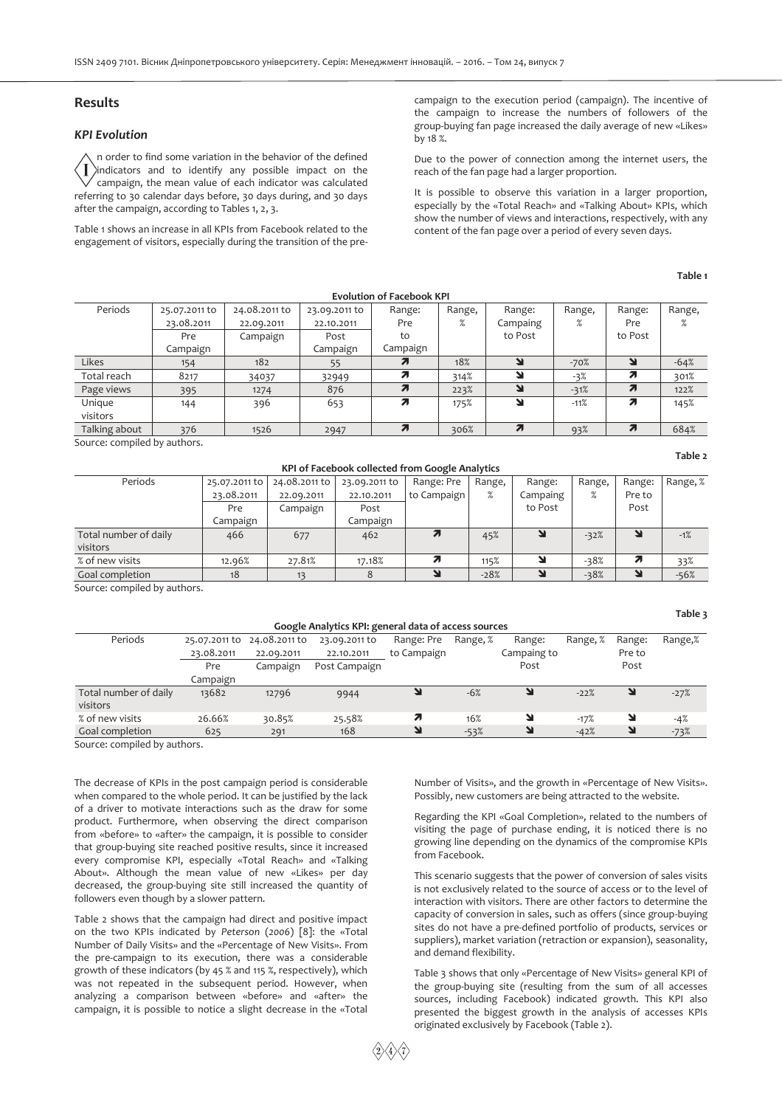### **Results**

### *KPI Evolution*

n order to find some variation in the behavior of the defined indicators and to identify any possible impact on the Ī campaign, the mean value of each indicator was calculated referring to 30 calendar days before, 30 days during, and 30 days after the campaign, according to Tables 1, 2, 3.

Table 1 shows an increase in all KPIs from Facebook related to the engagement of visitors, especially during the transition of the precampaign to the execution period (campaign). The incentive of the campaign to increase the numbers of followers of the group-buying fan page increased the daily average of new «Likes» by 18 %.

Due to the power of connection among the internet users, the reach of the fan page had a larger proportion.

It is possible to observe this variation in a larger proportion, especially by the «Total Reach» and «Talking About» KPIs, which show the number of views and interactions, respectively, with any content of the fan page over a period of every seven days.

#### **Table 1**

**Table 2** 

**Table 3** 

| <b>Evolution of Facebook KPI</b> |               |               |               |          |        |          |        |                     |        |  |
|----------------------------------|---------------|---------------|---------------|----------|--------|----------|--------|---------------------|--------|--|
| Periods                          | 25.07.2011 to | 24.08.2011 to | 23.09.2011 to | Range:   | Range, | Range:   | Range, | Range:              | Range, |  |
|                                  | 23.08.2011    | 22.09.2011    | 22.10.2011    | Pre      | $\%$   | Campaing | %      | Pre                 | %      |  |
|                                  | Pre           | Campaign      | Post          | to       |        | to Post  |        | to Post             |        |  |
|                                  | Campaign      |               | Campaign      | Campaign |        |          |        |                     |        |  |
| Likes                            | 154           | 182           | 55            |          | 18%    |          | $-70%$ | N                   | $-64%$ |  |
| Total reach                      | 8217          | 34037         | 32949         |          | 314%   | ۷        | $-3%$  | Я                   | 301%   |  |
| Page views                       | 395           | 1274          | 876           |          | 223%   | ۷        | $-31%$ | $\overline{\bf{z}}$ | 122%   |  |
| Unique                           | 144           | 396           | 653           | 71       | 175%   | لا       | $-11%$ | Я                   | 145%   |  |
| visitors                         |               |               |               |          |        |          |        |                     |        |  |
| Talking about                    | 376           | 1526          | 2947          |          | 306%   |          | 93%    | $\boldsymbol{\pi}$  | 684%   |  |

Source: compiled by authors.

#### **KPI of Facebook collected from Google Analytics**

| Periods               | 25.07.2011 to | 24.08.2011 to | 23.09.2011 to | Range: Pre  | Range, | Range:   | Range, | Range: | Range, % |
|-----------------------|---------------|---------------|---------------|-------------|--------|----------|--------|--------|----------|
|                       | 23.08.2011    | 22.09.2011    | 22.10.2011    | to Campaign | %      | Campaing |        | Pre to |          |
|                       | Pre           | Campaign      | Post          |             |        | to Post  |        | Post   |          |
|                       | Campaign      |               | Campaign      |             |        |          |        |        |          |
| Total number of daily | 466           | 677           | 462           | 7           | 45%    |          | $-32%$ |        | $-1%$    |
| visitors              |               |               |               |             |        |          |        |        |          |
| % of new visits       | 12.96%        | 27.81%        | 17.18%        |             | 115%   |          | $-38%$ | 71     | 33%      |
| Goal completion       | 18            | 13            |               |             | $-28%$ |          | $-38%$ |        | $-56%$   |

Source: compiled by authors.

| Google Analytics KPI: general data of access sources |               |               |               |             |          |             |          |        |         |  |
|------------------------------------------------------|---------------|---------------|---------------|-------------|----------|-------------|----------|--------|---------|--|
| Periods                                              | 25.07.2011 to | 24.08.2011 to | 23.09.2011 to | Range: Pre  | Range, % | Range:      | Range, % | Range: | Range,% |  |
|                                                      | 23.08.2011    | 22.09.2011    | 22.10.2011    | to Campaign |          | Campaing to |          | Pre to |         |  |
|                                                      | Pre           | Campaign      | Post Campaign |             |          | Post        |          | Post   |         |  |
|                                                      | Campaign      |               |               |             |          |             |          |        |         |  |
| Total number of daily                                | 13682         | 12796         | 9944          | ע           | $-6%$    | Y           | $-22%$   | N      | $-27%$  |  |
| visitors                                             |               |               |               |             |          |             |          |        |         |  |
| % of new visits                                      | 26.66%        | 30.85%        | 25.58%        | 21          | 16%      | Y           | $-17%$   | N      | $-4%$   |  |
| Goal completion                                      | 625           | 291           | 168           | ىد          | $-53%$   | Y           | $-42%$   | N      | $-73%$  |  |

Source: compiled by authors.

The decrease of KPIs in the post campaign period is considerable when compared to the whole period. It can be justified by the lack of a driver to motivate interactions such as the draw for some product. Furthermore, when observing the direct comparison from «before» to «after» the campaign, it is possible to consider that group-buying site reached positive results, since it increased every compromise KPI, especially «Total Reach» and «Talking About». Although the mean value of new «Likes» per day decreased, the group-buying site still increased the quantity of followers even though by a slower pattern.

Table 2 shows that the campaign had direct and positive impact on the two KPIs indicated by *Peterson* (*2006*) [8]: the «Total Number of Daily Visits» and the «Percentage of New Visits». From the pre-campaign to its execution, there was a considerable growth of these indicators (by 45 % and 115 %, respectively), which was not repeated in the subsequent period. However, when analyzing a comparison between «before» and «after» the campaign, it is possible to notice a slight decrease in the «Total Number of Visits», and the growth in «Percentage of New Visits». Possibly, new customers are being attracted to the website.

Regarding the KPI «Goal Completion», related to the numbers of visiting the page of purchase ending, it is noticed there is no growing line depending on the dynamics of the compromise KPIs from Facebook.

This scenario suggests that the power of conversion of sales visits is not exclusively related to the source of access or to the level of interaction with visitors. There are other factors to determine the capacity of conversion in sales, such as offers (since group-buying sites do not have a pre-defined portfolio of products, services or suppliers), market variation (retraction or expansion), seasonality, and demand flexibility.

Table 3 shows that only «Percentage of New Visits» general KPI of the group-buying site (resulting from the sum of all accesses sources, including Facebook) indicated growth. This KPI also presented the biggest growth in the analysis of accesses KPIs originated exclusively by Facebook (Table 2).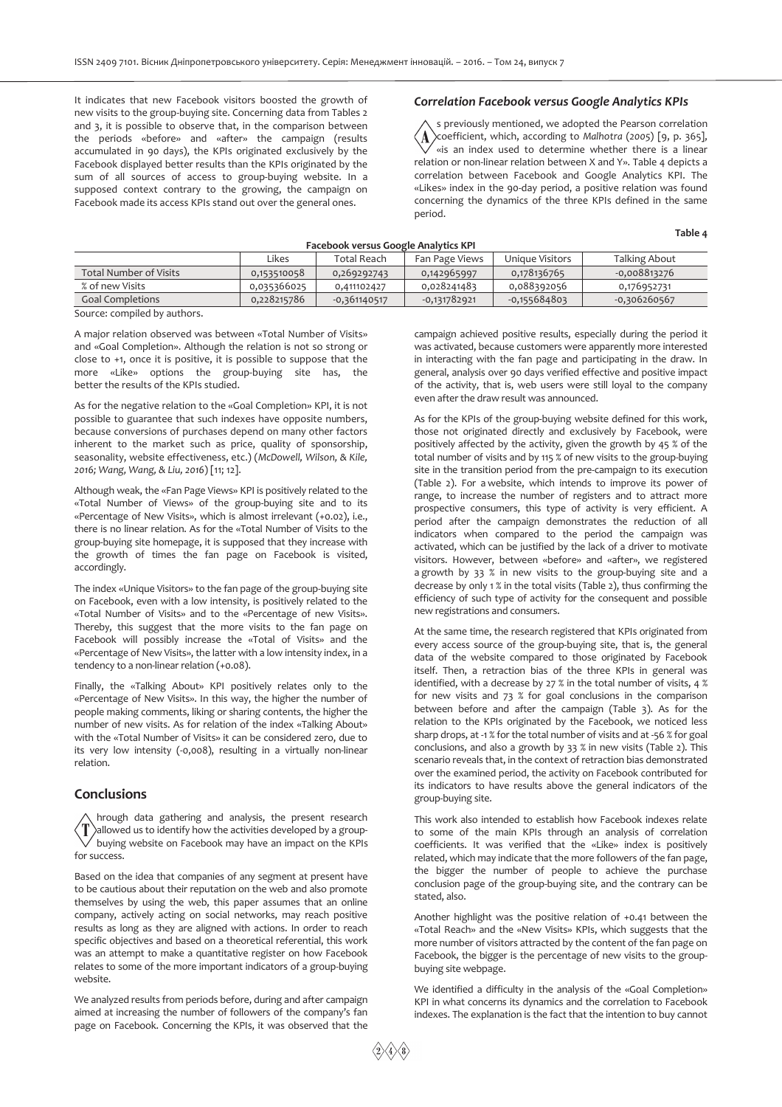It indicates that new Facebook visitors boosted the growth of new visits to the group-buying site. Concerning data from Tables 2 and 3, it is possible to observe that, in the comparison between the periods «before» and «after» the campaign (results accumulated in 90 days), the KPIs originated exclusively by the Facebook displayed better results than the KPIs originated by the sum of all sources of access to group-buying website. In a supposed context contrary to the growing, the campaign on Facebook made its access KPIs stand out over the general ones.

### *Correlation Facebook versus Google Analytics KPIs*

s previously mentioned, we adopted the Pearson correlation  $\Lambda$ coefficient, which, according to *Malhotra* (*2005*) [9, p. 365], «is an index used to determine whether there is a linear relation or non-linear relation between X and Y». Table 4 depicts a correlation between Facebook and Google Analytics KPI. The «Likes» index in the 90-day period, a positive relation was found concerning the dynamics of the three KPIs defined in the same period.

**Table 4** 

| Facebook versus Google Analytics KPI                                              |             |                |                |                |                |  |  |  |  |
|-----------------------------------------------------------------------------------|-------------|----------------|----------------|----------------|----------------|--|--|--|--|
| Unique Visitors<br>Likes<br>Total Reach<br><b>Talking About</b><br>Fan Page Views |             |                |                |                |                |  |  |  |  |
| <b>Total Number of Visits</b>                                                     | 0,153510058 | 0,269292743    | 0,142965997    | 0,178136765    | $-0,008813276$ |  |  |  |  |
| % of new Visits                                                                   | 0,035366025 | 0,411102427    | 0,028241483    | 0,088392056    | 0,176952731    |  |  |  |  |
| <b>Goal Completions</b>                                                           | 0,228215786 | $-0,361140517$ | $-0,131782921$ | $-0,155684803$ | $-0,306260567$ |  |  |  |  |

Source: compiled by authors.

A major relation observed was between «Total Number of Visits» and «Goal Completion». Although the relation is not so strong or close to +1, once it is positive, it is possible to suppose that the more «Like» options the group-buying site has, the better the results of the KPIs studied.

As for the negative relation to the «Goal Completion» KPI, it is not possible to guarantee that such indexes have opposite numbers, because conversions of purchases depend on many other factors inherent to the market such as price, quality of sponsorship, seasonality, website effectiveness, etc.) (*McDowell, Wilson, & Kile, 2016; Wang, Wang, & Liu, 2016*) [11; 12].

Although weak, the «Fan Page Views» KPI is positively related to the «Total Number of Views» of the group-buying site and to its «Percentage of New Visits», which is almost irrelevant (+0.02), i.e., there is no linear relation. As for the «Total Number of Visits to the group-buying site homepage, it is supposed that they increase with the growth of times the fan page on Facebook is visited, accordingly.

The index «Unique Visitors» to the fan page of the group-buying site on Facebook, even with a low intensity, is positively related to the «Total Number of Visits» and to the «Percentage of new Visits». Thereby, this suggest that the more visits to the fan page on Facebook will possibly increase the «Total of Visits» and the «Percentage of New Visits», the latter with a low intensity index, in a tendency to a non-linear relation (+0.08).

Finally, the «Talking About» KPI positively relates only to the «Percentage of New Visits». In this way, the higher the number of people making comments, liking or sharing contents, the higher the number of new visits. As for relation of the index «Talking About» with the «Total Number of Visits» it can be considered zero, due to its very low intensity (-0,008), resulting in a virtually non-linear relation.

### **Conclusions**

hrough data gathering and analysis, the present research allowed us to identify how the activities developed by a groupbuying website on Facebook may have an impact on the KPIs for success.

Based on the idea that companies of any segment at present have to be cautious about their reputation on the web and also promote themselves by using the web, this paper assumes that an online company, actively acting on social networks, may reach positive results as long as they are aligned with actions. In order to reach specific objectives and based on a theoretical referential, this work was an attempt to make a quantitative register on how Facebook relates to some of the more important indicators of a group-buying website.

We analyzed results from periods before, during and after campaign aimed at increasing the number of followers of the company's fan page on Facebook. Concerning the KPIs, it was observed that the

campaign achieved positive results, especially during the period it was activated, because customers were apparently more interested in interacting with the fan page and participating in the draw. In general, analysis over 90 days verified effective and positive impact of the activity, that is, web users were still loyal to the company even after the draw result was announced.

As for the KPIs of the group-buying website defined for this work, those not originated directly and exclusively by Facebook, were positively affected by the activity, given the growth by 45 % of the total number of visits and by 115 % of new visits to the group-buying site in the transition period from the pre-campaign to its execution (Table 2). For a website, which intends to improve its power of range, to increase the number of registers and to attract more prospective consumers, this type of activity is very efficient. A period after the campaign demonstrates the reduction of all indicators when compared to the period the campaign was activated, which can be justified by the lack of a driver to motivate visitors. However, between «before» and «after», we registered a growth by 33 % in new visits to the group-buying site and a decrease by only 1 % in the total visits (Table 2), thus confirming the efficiency of such type of activity for the consequent and possible new registrations and consumers.

At the same time, the research registered that KPIs originated from every access source of the group-buying site, that is, the general data of the website compared to those originated by Facebook itself. Then, a retraction bias of the three KPIs in general was identified, with a decrease by 27 % in the total number of visits, 4 % for new visits and 73 % for goal conclusions in the comparison between before and after the campaign (Table 3). As for the relation to the KPIs originated by the Facebook, we noticed less sharp drops, at -1 % for the total number of visits and at -56 % for goal conclusions, and also a growth by 33 % in new visits (Table 2). This scenario reveals that, in the context of retraction bias demonstrated over the examined period, the activity on Facebook contributed for its indicators to have results above the general indicators of the group-buying site.

This work also intended to establish how Facebook indexes relate to some of the main KPIs through an analysis of correlation coefficients. It was verified that the «Like» index is positively related, which may indicate that the more followers of the fan page, the bigger the number of people to achieve the purchase conclusion page of the group-buying site, and the contrary can be stated, also.

Another highlight was the positive relation of +0.41 between the «Total Reach» and the «New Visits» KPIs, which suggests that the more number of visitors attracted by the content of the fan page on Facebook, the bigger is the percentage of new visits to the groupbuying site webpage.

We identified a difficulty in the analysis of the «Goal Completion» KPI in what concerns its dynamics and the correlation to Facebook indexes. The explanation is the fact that the intention to buy cannot